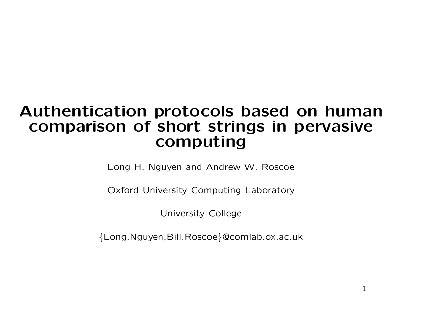# Authentication protocols based on human comparison of short strings in pervasive computing

Long H. Nguyen and Andrew W. Roscoe

Oxford University Computing Laboratory

University College

{Long.Nguyen,Bill.Roscoe }@comlab.ox.ac.uk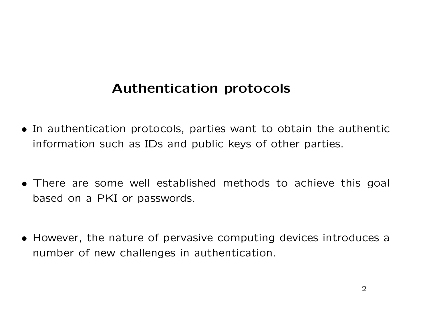# Authentication protocols

- In authentication protocols, parties want to obtain the authentic information such as IDs and public keys of other parties.
- There are some well established methods to achieve this goal based on <sup>a</sup> PKI or passwords.
- However, the nature of pervasive computing devices introduces <sup>a</sup> number of new challenges in authentication.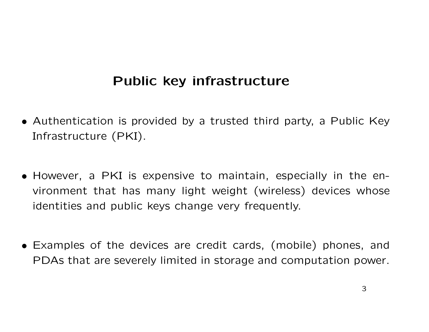# Public key infrastructure

- Authentication is provided by <sup>a</sup> trusted third party, <sup>a</sup> Public Key Infrastructure (PKI).
- However, <sup>a</sup> PKI is expensive to maintain, especially in the en vironment that has many light weight (wireless) devices whose identities and public keys change very frequently.
- Examples of the devices are credit cards, (mobile) phones, and PDAs that are severely limited in storage and computation power.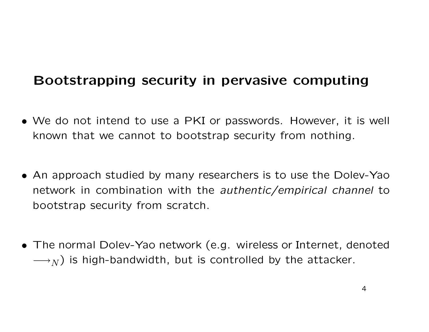# Bootstrapping security in pervasive computing

- We do not intend to use <sup>a</sup> PKI or passwords. However, it is well known that we cannot to bootstrap security from nothing.
- An approach studied by many researchers is to use the Dolev-Yao network in combination with the authentic/empirical channel to bootstrap security from scratch.
- The normal Dolev-Yao network (e.g. wireless or Internet, denoted  $\longrightarrow_N$ ) is high-bandwidth, but is controlled by the attacker.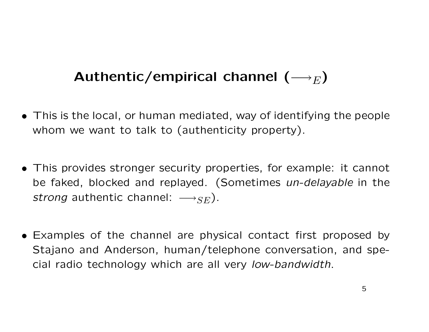# Authentic/empirical channel  $(\longrightarrow_E)$

- This is the local, or human mediated, way of identifying the people whom we want to talk to (authenticity property).
- This provides stronger security properties, for example: it cannot be faked, blocked and replayed. (Sometimes un-delayable in the strong authentic channel:  $\longrightarrow_{SE}$ ).
- Examples of the channel are physical contact first proposed b y Stajano and Anderson, human/telephone conversation, and special radio technology which are all very low-bandwidth.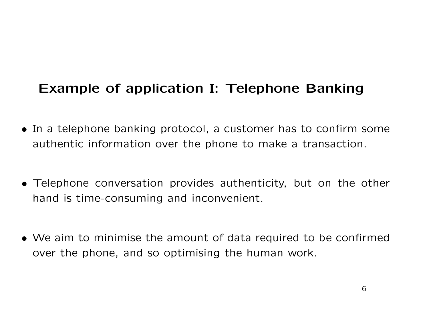### Example of application I: Telephone Banking

- In <sup>a</sup> telephone banking protocol, <sup>a</sup> customer has to confirm som e authentic information over the phone to make <sup>a</sup> transaction.
- Telephone conversation provides authenticity, but on the other hand is time-consuming and inconvenient.
- We aim to minimise the amount of data required to be confirmed over the phone, and so optimising the human work.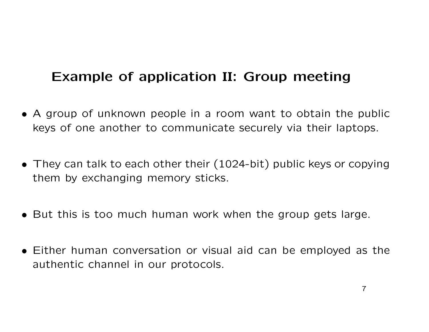# Example of application II: Group meeting

- A group of unknown people in <sup>a</sup> room want to obtain the public keys of one another to communicate securely via their laptops.
- They can talk to each other their (1024-bit) public keys or copying them by exchanging memory sticks.
- But this is too much human work when the group gets large.
- Either human conversation or visual aid can be employed as th e authentic channel in our protocols.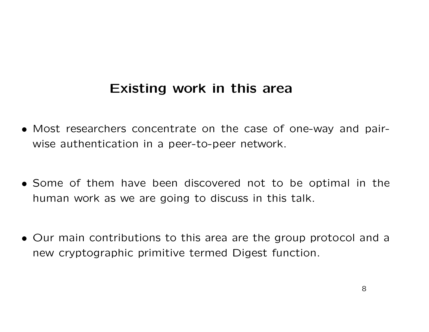#### Existing work in this area

- Most researchers concentrate on the case of one-way and pair wise authentication in <sup>a</sup> peer-to-peer network.
- Some of them have been discovered not to be optimal in the human work as we are going to discuss in this talk.
- Our main contributions to this area are the group protocol and <sup>a</sup> new cryptographic primitive termed Digest function.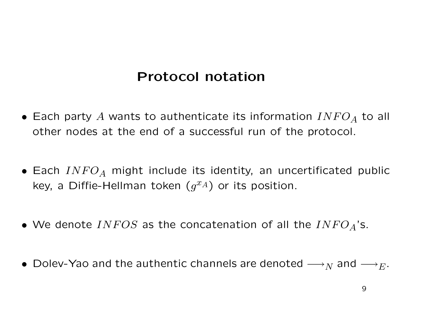### Protocol notation

- Each party A wants to authenticate its information  $INFO<sub>A</sub>$  to all other nodes at the end of <sup>a</sup> successful run of the protocol.
- Each  $INFO<sub>A</sub>$  might include its identity, an uncertificated public key, a Diffie-Hellman token  $(g^{xA})$  or its position.
- We denote INFOS as the concatenation of all the INFO<sub>A</sub>'s.
- Dolev-Yao and the authentic channels are denoted  $\longrightarrow_N$  and  $\longrightarrow_E$ .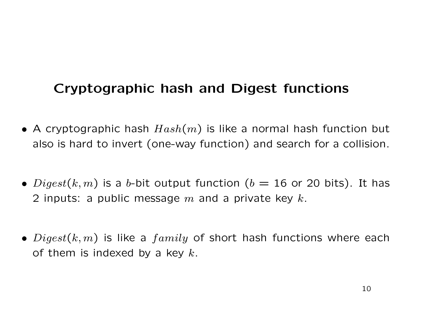# Cryptographic hash and Digest functions

- $\bullet$  A cryptographic hash  $Hash(m)$  is like a normal hash function but also is hard to invert (one-way function) and search for <sup>a</sup> collision.
- $\bullet$   $Digest(k,m)$  is a  $b$ -bit output function  $(b=16$  or 20 bits). It has 2 inputs: a public message  $m$  and a private key  $k$ .
- $\bullet$   $Digest(k,m)$  is like a  $family$  of short hash functions where each of them is indexed by a key  $k.$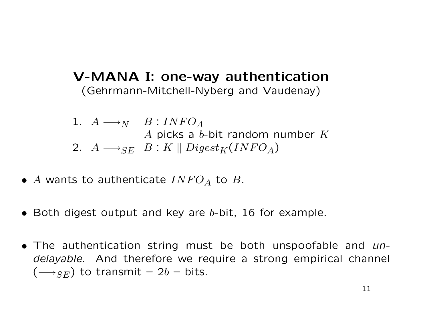#### V-MANA I: one-way authentication (Gehrmann-Mitchell-Nyberg and Vaudenay)

- 1.  $A \longrightarrow_N$   $B : INFO_A$ A picks a  $b$ -bit random number  $K$ 2.  $A \longrightarrow_{SE} B : K \parallel Digest_K (INFO_A)$
- A wants to authenticate  $INFO_A$  to B.
- $\bullet$  Both digest output and key are b-bit, 16 for example.
- The authentication string must be both unspoofable and undelayable. And therefore we require <sup>a</sup> strong empirical channel  $(\longrightarrow_{SE})$  to transmit  $-$  2 $b$   $-$  bits.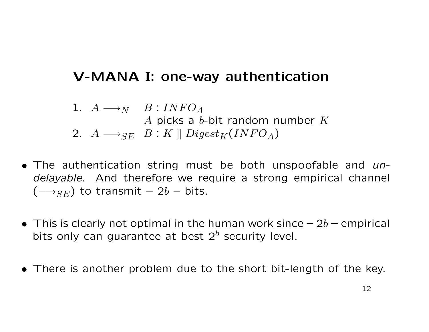# V-MANA I: one-way authentication

1.  $A \longrightarrow_N$   $B : INFO_A$ A picks a  $b$ -bit random number  $K$ 2.  $A \longrightarrow_{SE} B : K \parallel Digest_K (INFO_A)$ 

- The authentication string must be both unspoofable and undelayable. And therefore we require <sup>a</sup> strong empirical channel  $(\longrightarrow_{SE})$  to transmit  $-$  2 $b$   $-$  bits.
- $\bullet\,$  This is clearly not optimal in the human work since  $-$  2b  $-$  empirical bits only can guarantee at best  $2^b$  security level.
- There is another problem due to the short bit-length of the key.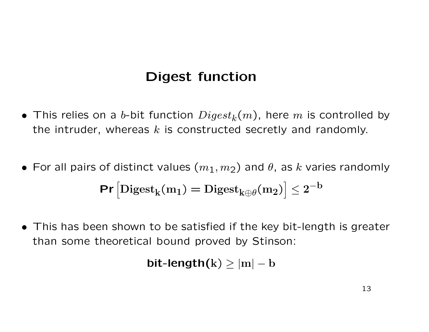### Digest function

- This relies on a b-bit function  $Digest_k(m)$ , here m is controlled by the intruder, whereas  $k$  is constructed secretly and randomly.
- For all pairs of distinct values  $(m_1, m_2)$  and  $\theta$ , as k varies randomly  $Pr\left[\text{Digest}_k(m_1) = \text{Digest}_{k\oplus\theta}(m_2)\right] \leq 2^{-b}$
- This has been shown to be satisfied if the key bit-length is greater than some theoretical bound proved by Stinson:

$$
\text{bit-length}(k) \geq |m| - b
$$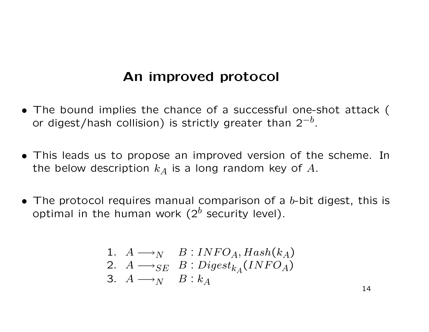#### An improved protocol

- The bound implies the chance of <sup>a</sup> successful one-shot attack ( or digest/hash collision) is strictly greater than  $2^{-b}.$
- This leads us to propose an improved version of the scheme. In the below description  $k_A$  is a long random key of  $A.$
- The protocol requires manual comparison of a b-bit digest, this is optimal in the human work ( $2^b$  security level).

\n- 1. 
$$
A \longrightarrow_{N} B : INFO_A, Hash(k_A)
$$
\n- 2.  $A \longrightarrow_{SE} B : Digest_{k_A}(INFO_A)$
\n- 3.  $A \longrightarrow_{N} B : k_A$
\n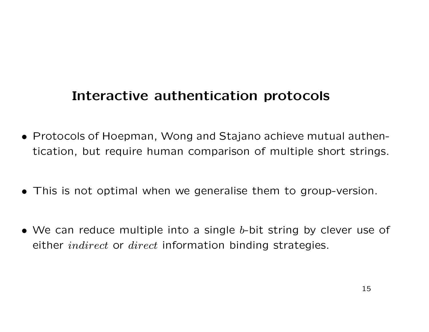### Interactive authentication protocols

- Protocols of Hoepman, Wong and Stajano achieve mutual authentication, but require human comparison of multiple short strings.
- This is not optimal when we generalise them to group-version.
- We can reduce multiple into a single  $b$ -bit string by clever use of either *indirect* or *direct* information binding strategies.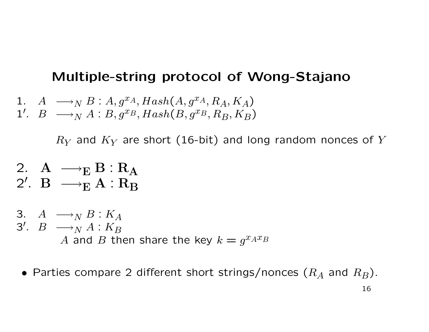#### Multiple-string protocol of Wong-Stajano

1. 
$$
A \longrightarrow_{N} B : A, g^{xA}, Hash(A, g^{xA}, R_A, K_A)
$$
  
1'.  $B \longrightarrow_{N} A : B, g^{xB}, Hash(B, g^{xB}, R_B, K_B)$ 

 $R_Y$  and  $K_Y$  are short (16-bit) and long random nonces of  $Y$ 

- 2.  $A \longrightarrow_E B : R_A$ 2'.  $B \longrightarrow_{E}^{B} A : R_{B}^{A}$
- 3.  $A \longrightarrow_{N} B : K_A$ 3'.  $B \longrightarrow_N^N A : K_B$ A and B then share the key  $k = g^{x_A x_B}$
- $\bullet$  Parties compare 2 different short strings/nonces  $(R_A$  and  $R_B)$ .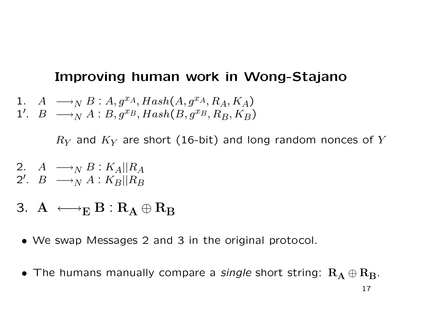#### Improving human work in Wong-Stajano

1. 
$$
A \longrightarrow_{N} B : A, g^{xA}, Hash(A, g^{xA}, R_A, K_A)
$$
  
1'.  $B \longrightarrow_{N} A : B, g^{xB}, Hash(B, g^{xB}, R_B, K_B)$ 

 $R_Y$  and  $K_Y$  are short (16-bit) and long random nonces of  $Y$ 

- 2.  $A \longrightarrow_N B : K_A || R_A$ 2'.  $B \longrightarrow_N A : K_B || R_B$
- 3.  $A \longleftrightarrow_E B : R_A \oplus R_B$
- We swap Messages 2 and 3 in the original protocol.
- The humans manually compare a single short string:  $R_A \oplus R_B$ . 17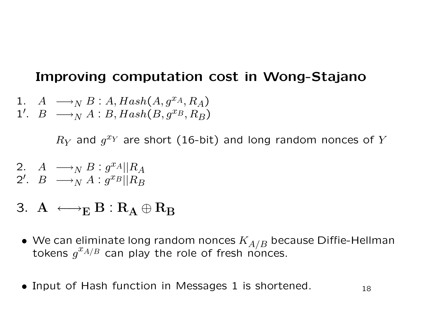#### Improving computation cost in Wong-Stajano

 $A \longrightarrow_{N} B : A, Hash(A, g^{xA}, R_A)$ 1'.  $B \longrightarrow_N^{\bullet} A : B, Hash(B, g^{x_B}, R_B)$ 

 $R_Y$  and  $g^{x_Y}$  are short (16-bit) and long random nonces of  $Y$ 

- 2.  $A \longrightarrow_{N} B : g^{x_{A}}||R_{A}$ 2'.  $B \longrightarrow_N A : g^{x_B} || R_B$
- 3.  $A \longleftrightarrow_E B : R_A \oplus R_B$
- $\bullet\,$  We can eliminate long random nonces  $K_{A/B}$  because Diffie-Hellman tokens  $g^{x_{A/B}}$  can play the role of fresh nonces.
- Input of Hash function in Messages 1 is shortened.  $18$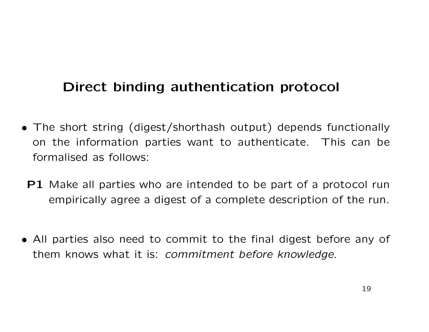# Direct binding authentication protocol

- The short string (digest/shorthash output) depends functionally on the information parties want to authenticate. This can be formalised as follows:
	- **P1** Make all parties who are intended to be part of a protocol run empirically agree <sup>a</sup> digest of <sup>a</sup> complete description of the run.
- All parties also need to commit to the final digest before any <sup>o</sup> f them knows what it is: commitment before knowledge.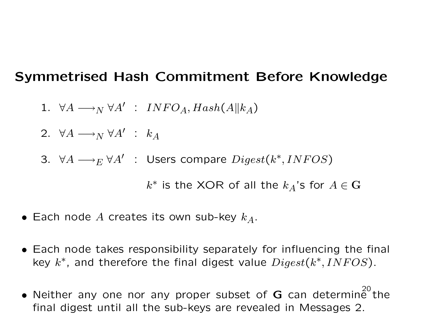#### Symmetrised Hash Commitment Before Knowledge

- $1. \;\; \forall A \longrightarrow_N \forall A' \; \; : \; \; INFO_A, Hash(A\|k_A)$
- 2.  $\forall A \longrightarrow_N \forall A' \; : \; k_A$
- 3. ∀ $A \longrightarrow_E \forall A'$  : Users compare  $Digest(k^*, INFOS)$

 $k^*$  is the XOR of all the  $k_A$ 's for  $A \in \mathbf{G}$ 

- $\bullet$  Each node  $A$  creates its own sub-key  $k_A.$
- Each node takes responsibility separately for influencing the final key  $k^*$ , and therefore the final digest value  $Digest(k^*, INFOS).$
- Neither any one nor any proper subset of G can determine the<br>final digest until all the sub-keys are revealed in Messages 2.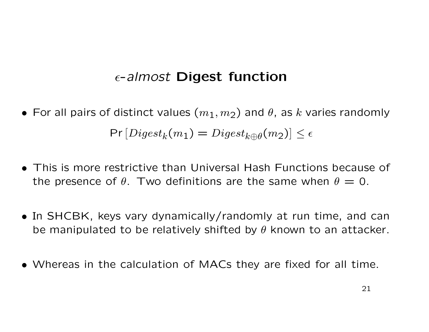### $\epsilon$ -almost Digest function

- For all pairs of distinct values  $(m_1, m_2)$  and  $\theta$ , as k varies randomly  $Pr\left[e_{\mathcal{B}}(m_1)=Digest_{k\oplus\theta}(m_2)\right]\leq \epsilon$
- This is more restrictive than Universal Hash Functions because of the presence of  $\theta$ . Two definitions are the same when  $\theta = 0$ .
- In SHCBK, keys vary dynamically/randomly at run time, and can be manipulated to be relatively shifted by  $\theta$  known to an attacker.
- Whereas in the calculation of MACs they are fixed for all time.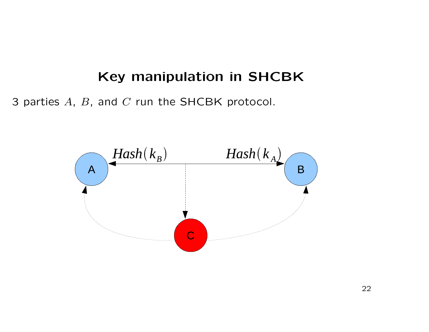### Key manipulation in SHCBK

3 parties  $A, B$ , and  $C$  run the SHCBK protocol.

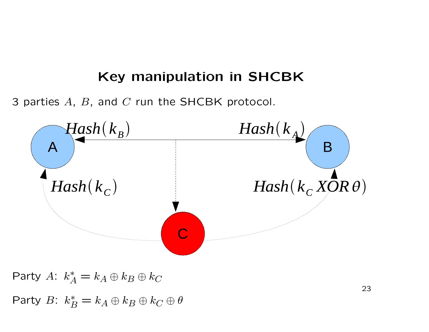#### Key manipulation in SHCBK

3 parties  $A, B$ , and  $C$  run the SHCBK protocol.



Party  $A: k^*_{\scriptscriptstyle\mathcal{L}}$ A  $= k_A \oplus k_B \oplus k_C$ Party B:  $k_P^*$ B  $= k_A \oplus k_B \oplus k_C \oplus \theta$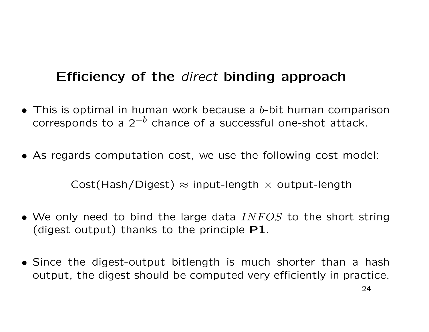# Efficiency of the direct binding approach

• This is optimal in human work because a b-bit human comparison corresponds to a  $2^{-b}$  chance of a successful one-shot attack.

• As regards computation cost, we use the following cost model:

Cost(Hash/Digest)  $\approx$  input-length  $\times$  output-length

- We only need to bind the large data  $INFOS$  to the short string (digest output) thanks to the principle P1.
- Since the digest-output bitlength is much shorter than <sup>a</sup> hash output, the digest should be computed very efficiently in practice.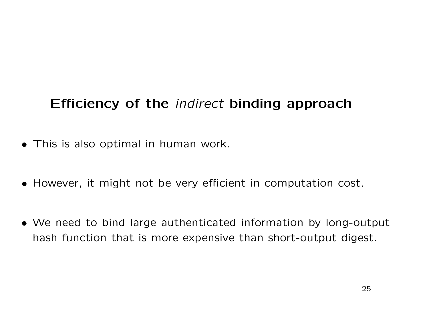# Efficiency of the indirect binding approach

- This is also optimal in human work.
- However, it might not be very efficient in computation cost.
- We need to bind large authenticated information by long-output hash function that is more expensive than short-output digest.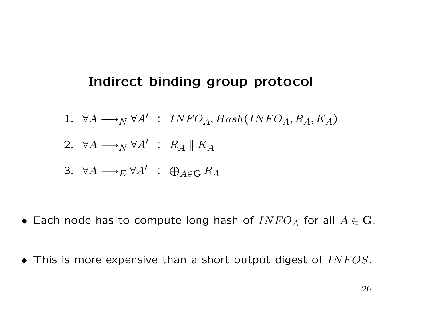#### Indirect binding group protocol

- 1.  $\forall A \longrightarrow_N \forall A'$  :  $INFO_A, Hash(INFO_A, R_A, K_A)$
- 2.  $\forall A \longrightarrow_N \forall A'$  :  $R_A \parallel K_A$

3. 
$$
\forall A \longrightarrow_{E} \forall A' \; : \; \bigoplus_{A \in \mathbf{G}} R_A
$$

- Each node has to compute long hash of  $INFO_A$  for all  $A \in {\bf G}.$
- This is more expensive than a short output digest of  $INFOS$ .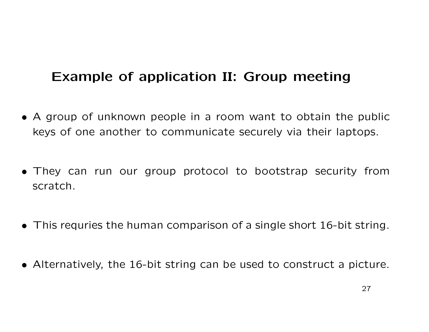# Example of application II: Group meeting

- A group of unknown people in <sup>a</sup> room want to obtain the public keys of one another to communicate securely via their laptops.
- They can run our group protocol to bootstrap security from scratch.
- This requries the human comparison of <sup>a</sup> single short 16-bit string.
- Alternatively, the 16-bit string can be used to construct <sup>a</sup> picture.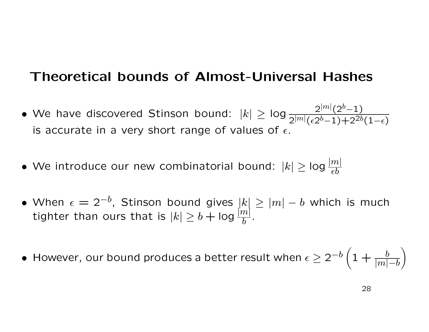#### Theoretical bounds of Almost-Universal Hashes

- We have discovered Stinson bound:  $|k| \geq \log \frac{2^{|m|} (2^b-1)}{2^{|m|} (2^b-1) \cdot 2^{\gamma b}}$  $2^{|m|}(\epsilon 2^{b} - 1) + 2^{2b}(1 - \epsilon)$ is accurate in a very short range of values of  $\epsilon.$
- We introduce our new combinatorial bound:  $|k| \geq$  log  $\frac{|m|}{\epsilon b}$  $\epsilon b$
- $\bullet$  When  $\epsilon=2^{-b}$ , Stinson bound gives  $|k|\geq |m|-b$  which is much tighter than ours that is  $|k|\geq b+\mathsf{log}$  $\left|m\right|$  $\overline{b}$  .
- $\bullet\,$  However, our bound produces a better result when  $\epsilon\geq 2^{-b}\Big(1+{b\over |m|}\Big)$  $\overline{|m|-b}$  $\left.\rule{0pt}{12pt}\right)$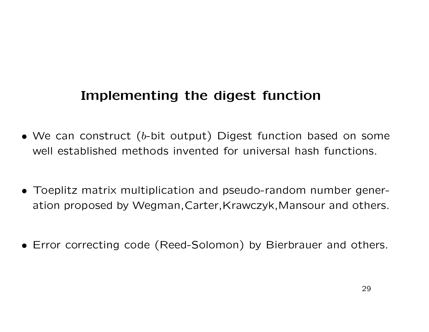### Implementing the digest function

- $\bullet$  We can construct (b-bit output) Digest function based on some well established methods invented for universal hash functions.
- Toeplitz matrix multiplication and pseudo-random number generation proposed by Wegman,Carter,Krawczyk,Mansour and others.
- Error correcting code (Reed-Solomon) by Bierbrauer and others.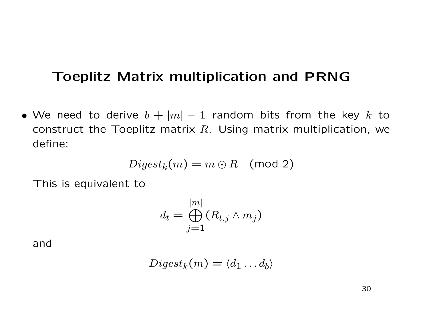#### Toeplitz Matrix multiplication and PRNG

• We need to derive  $b + |m| - 1$  random bits from the key k to construct the Toeplitz matrix  $R.$  Using matrix multiplication, we define:

$$
Digest_k(m) = m \odot R \pmod{2}
$$

This is equivalent to

$$
d_t = \bigoplus_{j=1}^{|m|} (R_{t,j} \wedge m_j)
$$

and

$$
Digest_k(m) = \langle d_1 \dots d_b \rangle
$$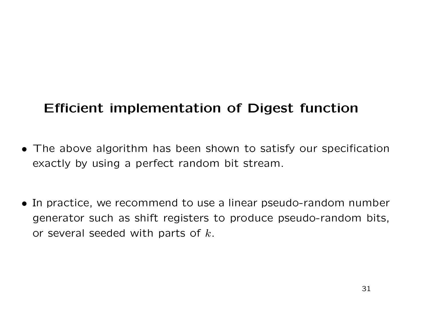# Efficient implementation of Digest function

- The above algorithm has been shown to satisfy our specification exactly by using <sup>a</sup> perfect random bit stream.
- In practice, we recommend to use <sup>a</sup> linear pseudo-random number generator such as shift registers to produce pseudo-random bits, or several seeded with parts of  $k.$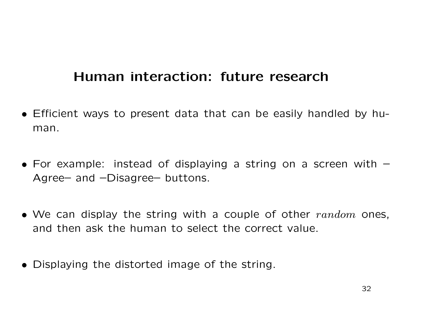### Human interaction: future research

- Efficient ways to present data that can be easily handled by human.
- For example: instead of displaying a string on a screen with  $-$ Agree– and –Disagree– buttons.
- We can display the string with a couple of other  $random$  ones, and then ask the human to select the correct value.
- Displaying the distorted image of the string.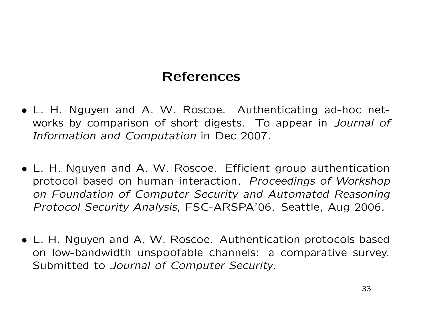### References

- L. H. Nguyen and A. W. Roscoe. Authenticating ad-hoc networks by comparison of short digests. To appear in Journal of Information and Computation in Dec 2007.
- L. H. Nguyen and A. W. Roscoe. Efficient group authentication protocol based on human interaction. Proceedings of Workshop on Foundation of Computer Security and Automated Reasoning Protocol Security Analysis, FSC-ARSPA'06. Seattle, Aug 2006.
- L. H. Nguyen and A. W. Roscoe. Authentication protocols based on low-bandwidth unspoofable channels: <sup>a</sup> comparative survey. Submitted to Journal of Computer Security.